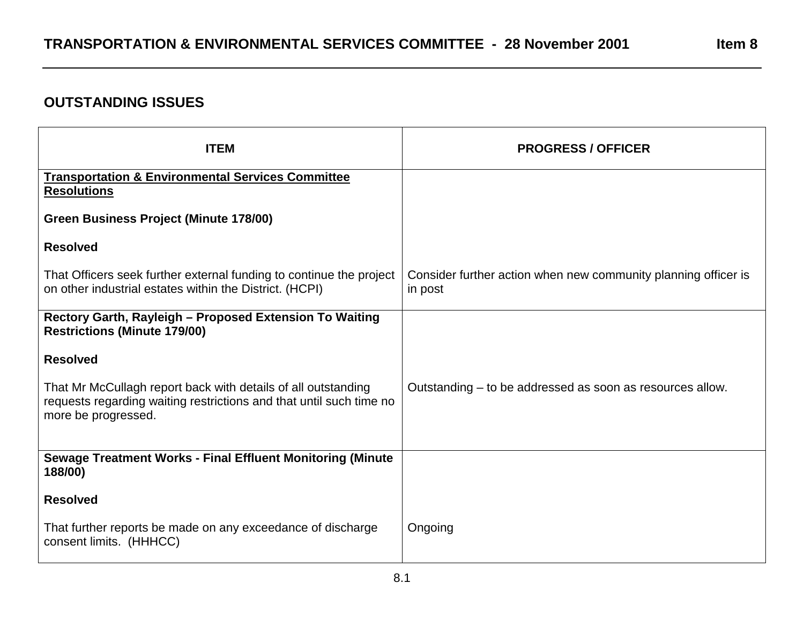## **OUTSTANDING ISSUES**

| <b>ITEM</b>                                                                                                                                                 | <b>PROGRESS / OFFICER</b>                                                 |
|-------------------------------------------------------------------------------------------------------------------------------------------------------------|---------------------------------------------------------------------------|
| <b>Transportation &amp; Environmental Services Committee</b><br><b>Resolutions</b>                                                                          |                                                                           |
| Green Business Project (Minute 178/00)                                                                                                                      |                                                                           |
| <b>Resolved</b>                                                                                                                                             |                                                                           |
| That Officers seek further external funding to continue the project<br>on other industrial estates within the District. (HCPI)                              | Consider further action when new community planning officer is<br>in post |
| Rectory Garth, Rayleigh - Proposed Extension To Waiting<br><b>Restrictions (Minute 179/00)</b>                                                              |                                                                           |
| <b>Resolved</b>                                                                                                                                             |                                                                           |
| That Mr McCullagh report back with details of all outstanding<br>requests regarding waiting restrictions and that until such time no<br>more be progressed. | Outstanding – to be addressed as soon as resources allow.                 |
| <b>Sewage Treatment Works - Final Effluent Monitoring (Minute</b><br>188/00)                                                                                |                                                                           |
| <b>Resolved</b>                                                                                                                                             |                                                                           |
| That further reports be made on any exceedance of discharge<br>consent limits. (HHHCC)                                                                      | Ongoing                                                                   |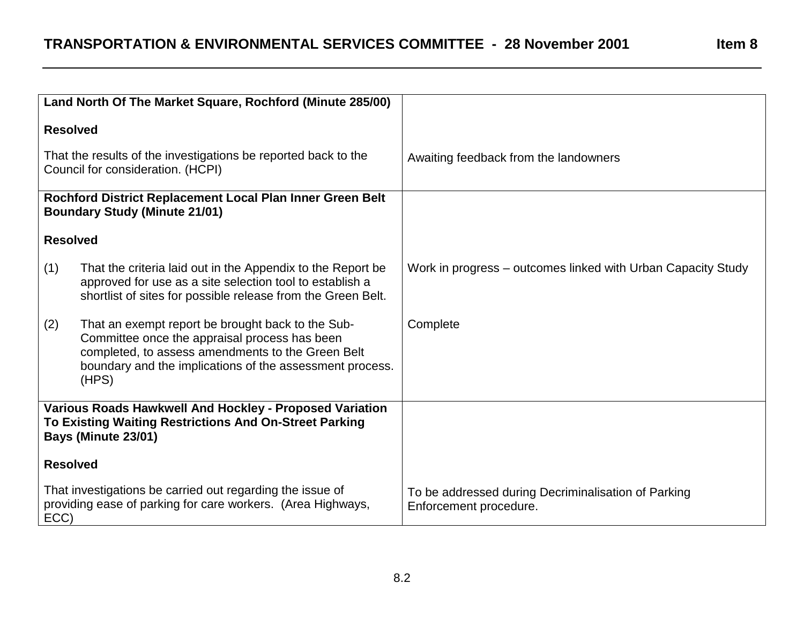|                                                                                                                                          | Land North Of The Market Square, Rochford (Minute 285/00)                                                                                                                                                                    |                                                                               |
|------------------------------------------------------------------------------------------------------------------------------------------|------------------------------------------------------------------------------------------------------------------------------------------------------------------------------------------------------------------------------|-------------------------------------------------------------------------------|
| <b>Resolved</b>                                                                                                                          |                                                                                                                                                                                                                              |                                                                               |
|                                                                                                                                          | That the results of the investigations be reported back to the<br>Council for consideration. (HCPI)                                                                                                                          | Awaiting feedback from the landowners                                         |
|                                                                                                                                          | Rochford District Replacement Local Plan Inner Green Belt<br><b>Boundary Study (Minute 21/01)</b>                                                                                                                            |                                                                               |
| <b>Resolved</b>                                                                                                                          |                                                                                                                                                                                                                              |                                                                               |
| (1)                                                                                                                                      | That the criteria laid out in the Appendix to the Report be<br>approved for use as a site selection tool to establish a<br>shortlist of sites for possible release from the Green Belt.                                      | Work in progress – outcomes linked with Urban Capacity Study                  |
| (2)                                                                                                                                      | That an exempt report be brought back to the Sub-<br>Committee once the appraisal process has been<br>completed, to assess amendments to the Green Belt<br>boundary and the implications of the assessment process.<br>(HPS) | Complete                                                                      |
| Various Roads Hawkwell And Hockley - Proposed Variation<br>To Existing Waiting Restrictions And On-Street Parking<br>Bays (Minute 23/01) |                                                                                                                                                                                                                              |                                                                               |
| <b>Resolved</b>                                                                                                                          |                                                                                                                                                                                                                              |                                                                               |
| ECC)                                                                                                                                     | That investigations be carried out regarding the issue of<br>providing ease of parking for care workers. (Area Highways,                                                                                                     | To be addressed during Decriminalisation of Parking<br>Enforcement procedure. |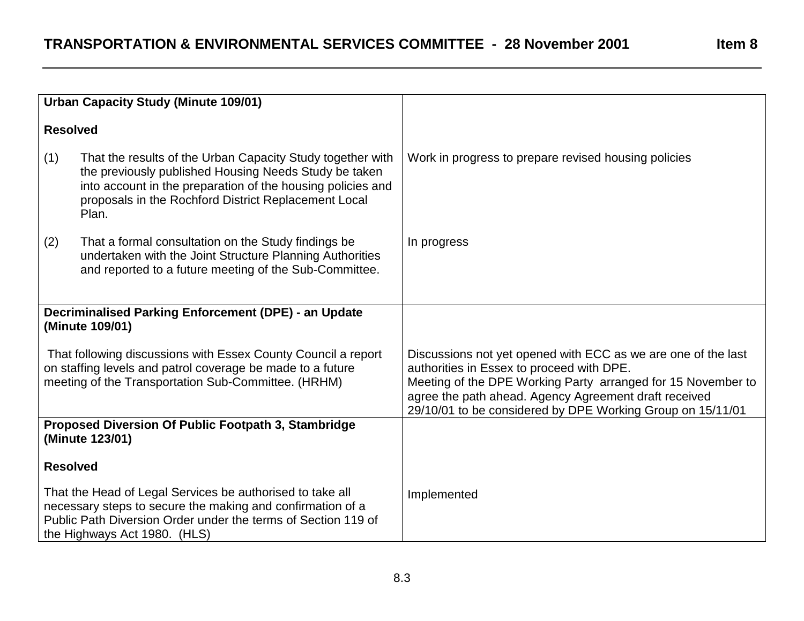|                                                                                                                                                                                    | <b>Urban Capacity Study (Minute 109/01)</b>                                                                                                                                                                                                         |                                                                                                                                                                                                                                                                                                   |
|------------------------------------------------------------------------------------------------------------------------------------------------------------------------------------|-----------------------------------------------------------------------------------------------------------------------------------------------------------------------------------------------------------------------------------------------------|---------------------------------------------------------------------------------------------------------------------------------------------------------------------------------------------------------------------------------------------------------------------------------------------------|
|                                                                                                                                                                                    |                                                                                                                                                                                                                                                     |                                                                                                                                                                                                                                                                                                   |
| <b>Resolved</b>                                                                                                                                                                    |                                                                                                                                                                                                                                                     |                                                                                                                                                                                                                                                                                                   |
| (1)                                                                                                                                                                                | That the results of the Urban Capacity Study together with<br>the previously published Housing Needs Study be taken<br>into account in the preparation of the housing policies and<br>proposals in the Rochford District Replacement Local<br>Plan. | Work in progress to prepare revised housing policies                                                                                                                                                                                                                                              |
| (2)                                                                                                                                                                                | That a formal consultation on the Study findings be<br>undertaken with the Joint Structure Planning Authorities<br>and reported to a future meeting of the Sub-Committee.                                                                           | In progress                                                                                                                                                                                                                                                                                       |
|                                                                                                                                                                                    | <b>Decriminalised Parking Enforcement (DPE) - an Update</b><br>(Minute 109/01)                                                                                                                                                                      |                                                                                                                                                                                                                                                                                                   |
| That following discussions with Essex County Council a report<br>on staffing levels and patrol coverage be made to a future<br>meeting of the Transportation Sub-Committee. (HRHM) |                                                                                                                                                                                                                                                     | Discussions not yet opened with ECC as we are one of the last<br>authorities in Essex to proceed with DPE.<br>Meeting of the DPE Working Party arranged for 15 November to<br>agree the path ahead. Agency Agreement draft received<br>29/10/01 to be considered by DPE Working Group on 15/11/01 |
|                                                                                                                                                                                    | Proposed Diversion Of Public Footpath 3, Stambridge<br>(Minute 123/01)                                                                                                                                                                              |                                                                                                                                                                                                                                                                                                   |
| <b>Resolved</b>                                                                                                                                                                    |                                                                                                                                                                                                                                                     |                                                                                                                                                                                                                                                                                                   |
|                                                                                                                                                                                    | That the Head of Legal Services be authorised to take all<br>necessary steps to secure the making and confirmation of a<br>Public Path Diversion Order under the terms of Section 119 of<br>the Highways Act 1980. (HLS)                            | Implemented                                                                                                                                                                                                                                                                                       |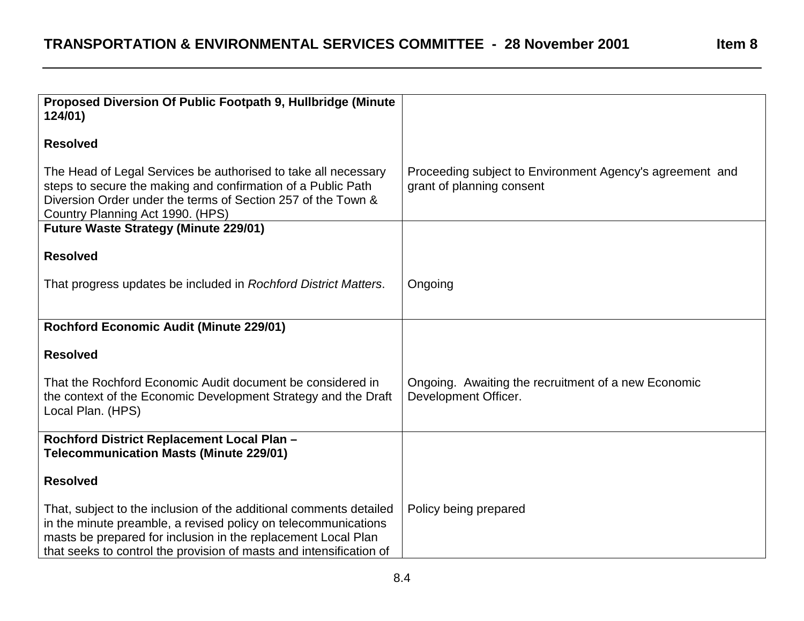| Proposed Diversion Of Public Footpath 9, Hullbridge (Minute<br>124/01)                                                                                                                                                                                                       |                                                                                       |
|------------------------------------------------------------------------------------------------------------------------------------------------------------------------------------------------------------------------------------------------------------------------------|---------------------------------------------------------------------------------------|
| <b>Resolved</b>                                                                                                                                                                                                                                                              |                                                                                       |
| The Head of Legal Services be authorised to take all necessary<br>steps to secure the making and confirmation of a Public Path<br>Diversion Order under the terms of Section 257 of the Town &<br>Country Planning Act 1990. (HPS)                                           | Proceeding subject to Environment Agency's agreement and<br>grant of planning consent |
| <b>Future Waste Strategy (Minute 229/01)</b>                                                                                                                                                                                                                                 |                                                                                       |
| <b>Resolved</b>                                                                                                                                                                                                                                                              |                                                                                       |
| That progress updates be included in Rochford District Matters.                                                                                                                                                                                                              | Ongoing                                                                               |
| <b>Rochford Economic Audit (Minute 229/01)</b>                                                                                                                                                                                                                               |                                                                                       |
| <b>Resolved</b>                                                                                                                                                                                                                                                              |                                                                                       |
| That the Rochford Economic Audit document be considered in<br>the context of the Economic Development Strategy and the Draft<br>Local Plan. (HPS)                                                                                                                            | Ongoing. Awaiting the recruitment of a new Economic<br>Development Officer.           |
| Rochford District Replacement Local Plan -<br><b>Telecommunication Masts (Minute 229/01)</b>                                                                                                                                                                                 |                                                                                       |
| <b>Resolved</b>                                                                                                                                                                                                                                                              |                                                                                       |
| That, subject to the inclusion of the additional comments detailed<br>in the minute preamble, a revised policy on telecommunications<br>masts be prepared for inclusion in the replacement Local Plan<br>that seeks to control the provision of masts and intensification of | Policy being prepared                                                                 |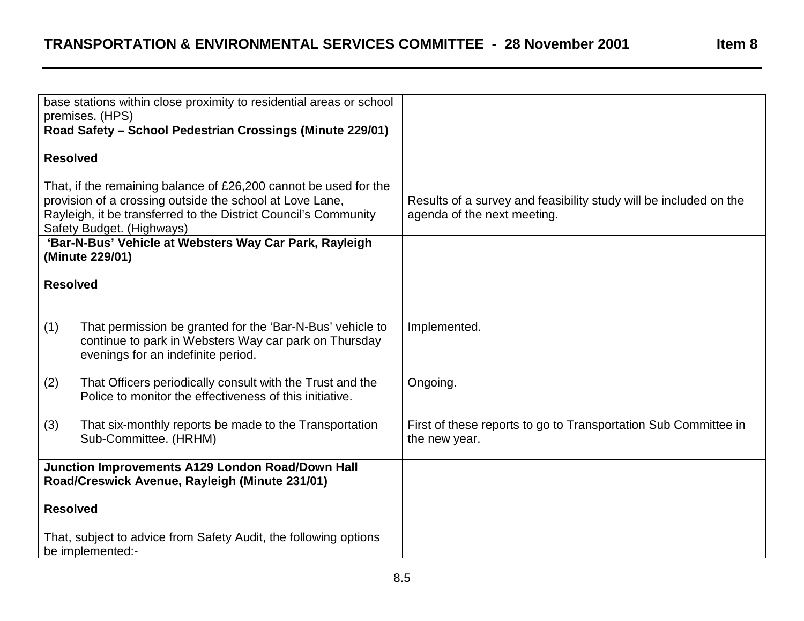|                                                                                                                                                                                                                              | base stations within close proximity to residential areas or school<br>premises. (HPS)                                                                   |                                                                                                  |
|------------------------------------------------------------------------------------------------------------------------------------------------------------------------------------------------------------------------------|----------------------------------------------------------------------------------------------------------------------------------------------------------|--------------------------------------------------------------------------------------------------|
|                                                                                                                                                                                                                              | Road Safety - School Pedestrian Crossings (Minute 229/01)                                                                                                |                                                                                                  |
| <b>Resolved</b>                                                                                                                                                                                                              |                                                                                                                                                          |                                                                                                  |
| That, if the remaining balance of £26,200 cannot be used for the<br>provision of a crossing outside the school at Love Lane,<br>Rayleigh, it be transferred to the District Council's Community<br>Safety Budget. (Highways) |                                                                                                                                                          | Results of a survey and feasibility study will be included on the<br>agenda of the next meeting. |
| 'Bar-N-Bus' Vehicle at Websters Way Car Park, Rayleigh<br>(Minute 229/01)                                                                                                                                                    |                                                                                                                                                          |                                                                                                  |
| <b>Resolved</b>                                                                                                                                                                                                              |                                                                                                                                                          |                                                                                                  |
| (1)                                                                                                                                                                                                                          | That permission be granted for the 'Bar-N-Bus' vehicle to<br>continue to park in Websters Way car park on Thursday<br>evenings for an indefinite period. | Implemented.                                                                                     |
| (2)                                                                                                                                                                                                                          | That Officers periodically consult with the Trust and the<br>Police to monitor the effectiveness of this initiative.                                     | Ongoing.                                                                                         |
| (3)                                                                                                                                                                                                                          | That six-monthly reports be made to the Transportation<br>Sub-Committee. (HRHM)                                                                          | First of these reports to go to Transportation Sub Committee in<br>the new year.                 |
| <b>Junction Improvements A129 London Road/Down Hall</b><br>Road/Creswick Avenue, Rayleigh (Minute 231/01)                                                                                                                    |                                                                                                                                                          |                                                                                                  |
| <b>Resolved</b>                                                                                                                                                                                                              |                                                                                                                                                          |                                                                                                  |
|                                                                                                                                                                                                                              | That, subject to advice from Safety Audit, the following options<br>be implemented:-                                                                     |                                                                                                  |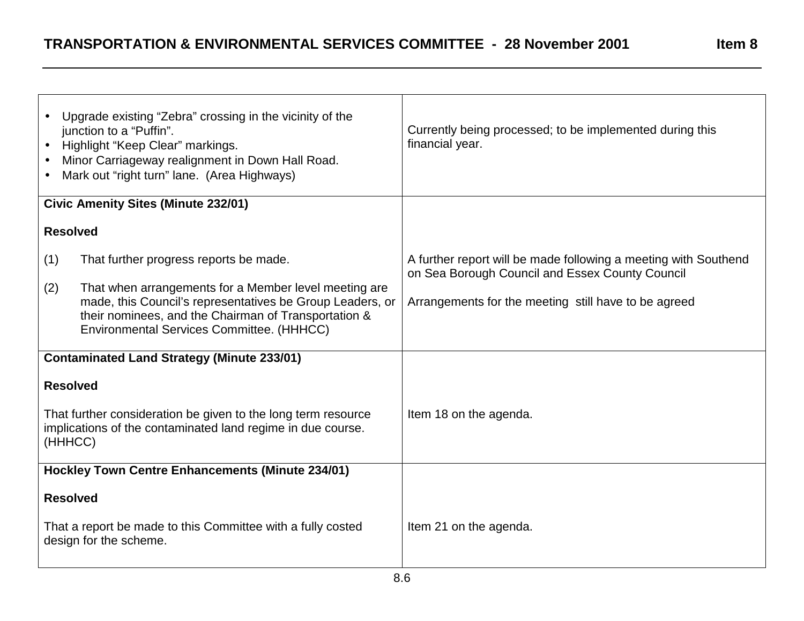| ŀΠ<br>⇔<br>L |  |
|--------------|--|
|--------------|--|

| Upgrade existing "Zebra" crossing in the vicinity of the<br>junction to a "Puffin".<br>Highlight "Keep Clear" markings.<br>$\bullet$<br>Minor Carriageway realignment in Down Hall Road.<br>Mark out "right turn" lane. (Area Highways)                                         | Currently being processed; to be implemented during this<br>financial year.                                                                                                |
|---------------------------------------------------------------------------------------------------------------------------------------------------------------------------------------------------------------------------------------------------------------------------------|----------------------------------------------------------------------------------------------------------------------------------------------------------------------------|
| <b>Civic Amenity Sites (Minute 232/01)</b>                                                                                                                                                                                                                                      |                                                                                                                                                                            |
| <b>Resolved</b>                                                                                                                                                                                                                                                                 |                                                                                                                                                                            |
| (1)<br>That further progress reports be made.<br>(2)<br>That when arrangements for a Member level meeting are<br>made, this Council's representatives be Group Leaders, or<br>their nominees, and the Chairman of Transportation &<br>Environmental Services Committee. (HHHCC) | A further report will be made following a meeting with Southend<br>on Sea Borough Council and Essex County Council<br>Arrangements for the meeting still have to be agreed |
| <b>Contaminated Land Strategy (Minute 233/01)</b>                                                                                                                                                                                                                               |                                                                                                                                                                            |
| <b>Resolved</b><br>That further consideration be given to the long term resource<br>implications of the contaminated land regime in due course.<br>(HHHCC)                                                                                                                      | Item 18 on the agenda.                                                                                                                                                     |
| <b>Hockley Town Centre Enhancements (Minute 234/01)</b>                                                                                                                                                                                                                         |                                                                                                                                                                            |
| <b>Resolved</b>                                                                                                                                                                                                                                                                 |                                                                                                                                                                            |
| That a report be made to this Committee with a fully costed<br>design for the scheme.                                                                                                                                                                                           | Item 21 on the agenda.                                                                                                                                                     |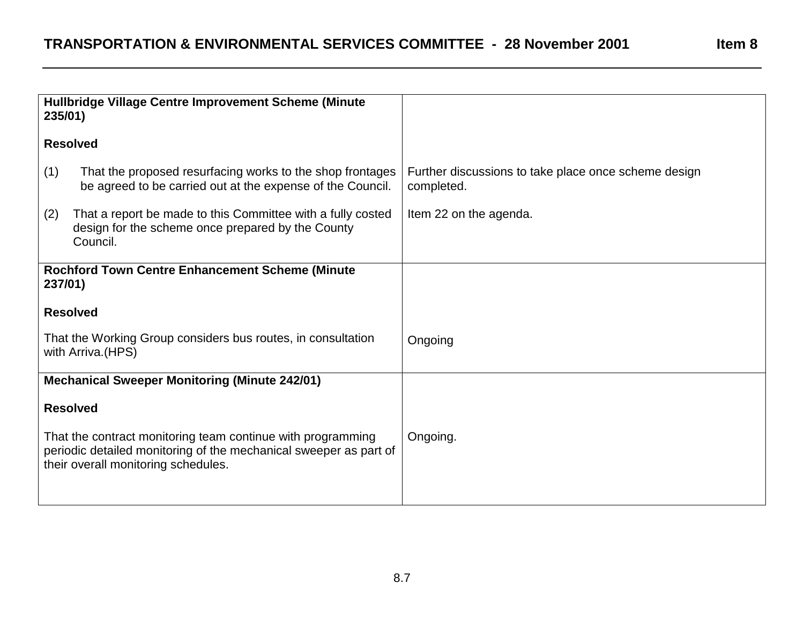| That the proposed resurfacing works to the shop frontages<br>be agreed to be carried out at the expense of the Council.      | Further discussions to take place once scheme design<br>completed.                                                                                                                                                                                                                                                                                                                                                                                                                                                     |
|------------------------------------------------------------------------------------------------------------------------------|------------------------------------------------------------------------------------------------------------------------------------------------------------------------------------------------------------------------------------------------------------------------------------------------------------------------------------------------------------------------------------------------------------------------------------------------------------------------------------------------------------------------|
| That a report be made to this Committee with a fully costed<br>design for the scheme once prepared by the County<br>Council. | Item 22 on the agenda.                                                                                                                                                                                                                                                                                                                                                                                                                                                                                                 |
|                                                                                                                              |                                                                                                                                                                                                                                                                                                                                                                                                                                                                                                                        |
|                                                                                                                              |                                                                                                                                                                                                                                                                                                                                                                                                                                                                                                                        |
|                                                                                                                              | Ongoing                                                                                                                                                                                                                                                                                                                                                                                                                                                                                                                |
|                                                                                                                              |                                                                                                                                                                                                                                                                                                                                                                                                                                                                                                                        |
|                                                                                                                              |                                                                                                                                                                                                                                                                                                                                                                                                                                                                                                                        |
|                                                                                                                              | Ongoing.                                                                                                                                                                                                                                                                                                                                                                                                                                                                                                               |
|                                                                                                                              | Hullbridge Village Centre Improvement Scheme (Minute<br>235/01)<br><b>Resolved</b><br><b>Rochford Town Centre Enhancement Scheme (Minute</b><br>237/01)<br><b>Resolved</b><br>That the Working Group considers bus routes, in consultation<br>with Arriva. (HPS)<br><b>Mechanical Sweeper Monitoring (Minute 242/01)</b><br><b>Resolved</b><br>That the contract monitoring team continue with programming<br>periodic detailed monitoring of the mechanical sweeper as part of<br>their overall monitoring schedules. |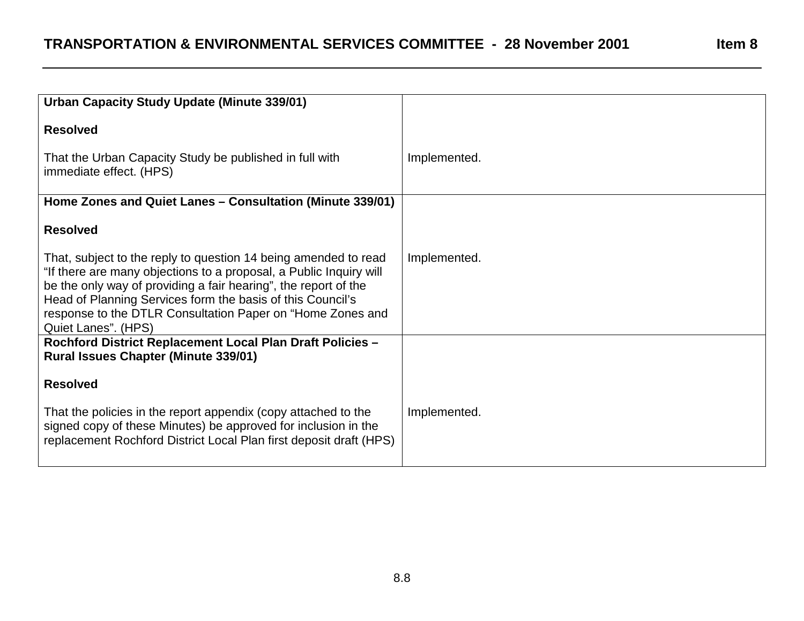| Urban Capacity Study Update (Minute 339/01)                                                                                                                                                                                                                                                                                                                 |              |
|-------------------------------------------------------------------------------------------------------------------------------------------------------------------------------------------------------------------------------------------------------------------------------------------------------------------------------------------------------------|--------------|
| <b>Resolved</b>                                                                                                                                                                                                                                                                                                                                             |              |
| That the Urban Capacity Study be published in full with<br>immediate effect. (HPS)                                                                                                                                                                                                                                                                          | Implemented. |
| Home Zones and Quiet Lanes - Consultation (Minute 339/01)                                                                                                                                                                                                                                                                                                   |              |
| <b>Resolved</b>                                                                                                                                                                                                                                                                                                                                             |              |
| That, subject to the reply to question 14 being amended to read<br>"If there are many objections to a proposal, a Public Inquiry will<br>be the only way of providing a fair hearing", the report of the<br>Head of Planning Services form the basis of this Council's<br>response to the DTLR Consultation Paper on "Home Zones and<br>Quiet Lanes". (HPS) | Implemented. |
| Rochford District Replacement Local Plan Draft Policies -<br><b>Rural Issues Chapter (Minute 339/01)</b>                                                                                                                                                                                                                                                    |              |
| <b>Resolved</b>                                                                                                                                                                                                                                                                                                                                             |              |
| That the policies in the report appendix (copy attached to the<br>signed copy of these Minutes) be approved for inclusion in the<br>replacement Rochford District Local Plan first deposit draft (HPS)                                                                                                                                                      | Implemented. |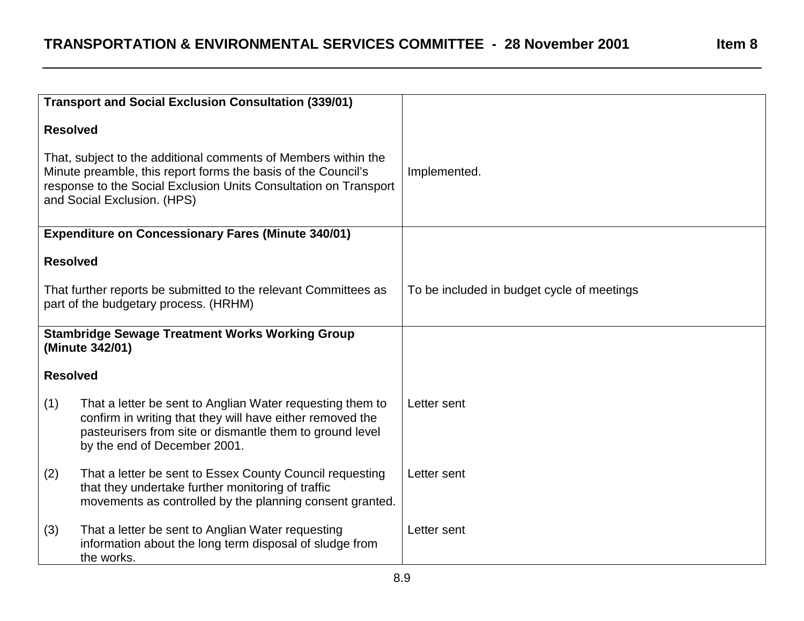|                                                                                                                                                                                                                                    | <b>Transport and Social Exclusion Consultation (339/01)</b>                                                                                                                                                        |                                            |
|------------------------------------------------------------------------------------------------------------------------------------------------------------------------------------------------------------------------------------|--------------------------------------------------------------------------------------------------------------------------------------------------------------------------------------------------------------------|--------------------------------------------|
| <b>Resolved</b>                                                                                                                                                                                                                    |                                                                                                                                                                                                                    |                                            |
| That, subject to the additional comments of Members within the<br>Minute preamble, this report forms the basis of the Council's<br>response to the Social Exclusion Units Consultation on Transport<br>and Social Exclusion. (HPS) |                                                                                                                                                                                                                    | Implemented.                               |
|                                                                                                                                                                                                                                    | <b>Expenditure on Concessionary Fares (Minute 340/01)</b>                                                                                                                                                          |                                            |
| <b>Resolved</b>                                                                                                                                                                                                                    |                                                                                                                                                                                                                    |                                            |
| That further reports be submitted to the relevant Committees as<br>part of the budgetary process. (HRHM)                                                                                                                           |                                                                                                                                                                                                                    | To be included in budget cycle of meetings |
|                                                                                                                                                                                                                                    | <b>Stambridge Sewage Treatment Works Working Group</b><br>(Minute 342/01)                                                                                                                                          |                                            |
| <b>Resolved</b>                                                                                                                                                                                                                    |                                                                                                                                                                                                                    |                                            |
| (1)                                                                                                                                                                                                                                | That a letter be sent to Anglian Water requesting them to<br>confirm in writing that they will have either removed the<br>pasteurisers from site or dismantle them to ground level<br>by the end of December 2001. | Letter sent                                |
| (2)                                                                                                                                                                                                                                | That a letter be sent to Essex County Council requesting<br>that they undertake further monitoring of traffic<br>movements as controlled by the planning consent granted.                                          | Letter sent                                |
| (3)                                                                                                                                                                                                                                | That a letter be sent to Anglian Water requesting<br>information about the long term disposal of sludge from<br>the works.                                                                                         | Letter sent                                |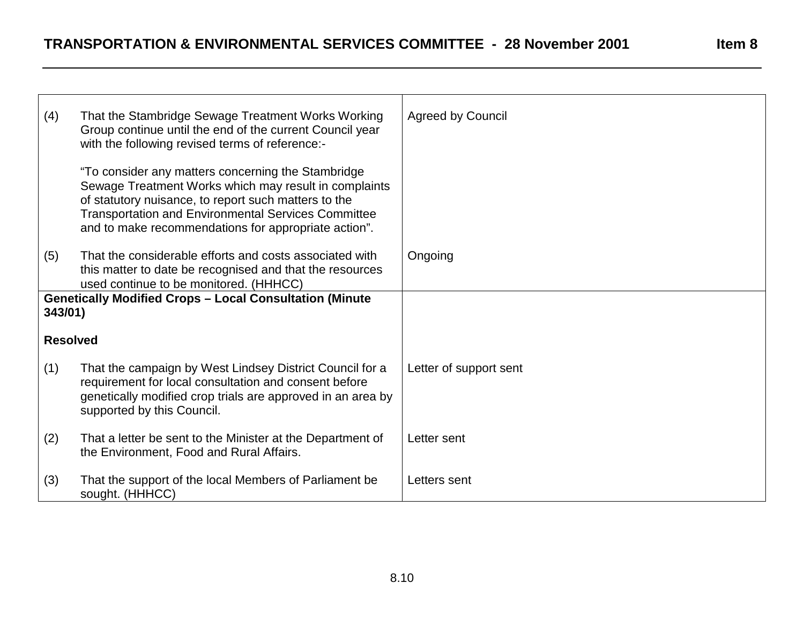Г

 $\overline{\phantom{0}}$ 

<u> 1980 - Johann Stoff, deutscher Stoffen und der Stoffen und der Stoffen und der Stoffen und der Stoffen und der</u>

| (4)             | That the Stambridge Sewage Treatment Works Working<br>Group continue until the end of the current Council year<br>with the following revised terms of reference:-                                                                                                                         | <b>Agreed by Council</b> |
|-----------------|-------------------------------------------------------------------------------------------------------------------------------------------------------------------------------------------------------------------------------------------------------------------------------------------|--------------------------|
|                 | "To consider any matters concerning the Stambridge<br>Sewage Treatment Works which may result in complaints<br>of statutory nuisance, to report such matters to the<br><b>Transportation and Environmental Services Committee</b><br>and to make recommendations for appropriate action". |                          |
| (5)             | That the considerable efforts and costs associated with<br>this matter to date be recognised and that the resources<br>used continue to be monitored. (HHHCC)                                                                                                                             | Ongoing                  |
| 343/01)         | <b>Genetically Modified Crops - Local Consultation (Minute</b>                                                                                                                                                                                                                            |                          |
| <b>Resolved</b> |                                                                                                                                                                                                                                                                                           |                          |
| (1)             | That the campaign by West Lindsey District Council for a<br>requirement for local consultation and consent before<br>genetically modified crop trials are approved in an area by<br>supported by this Council.                                                                            | Letter of support sent   |
| (2)             | That a letter be sent to the Minister at the Department of<br>the Environment, Food and Rural Affairs.                                                                                                                                                                                    | Letter sent              |
| (3)             | That the support of the local Members of Parliament be<br>sought. (HHHCC)                                                                                                                                                                                                                 | Letters sent             |

 $\top$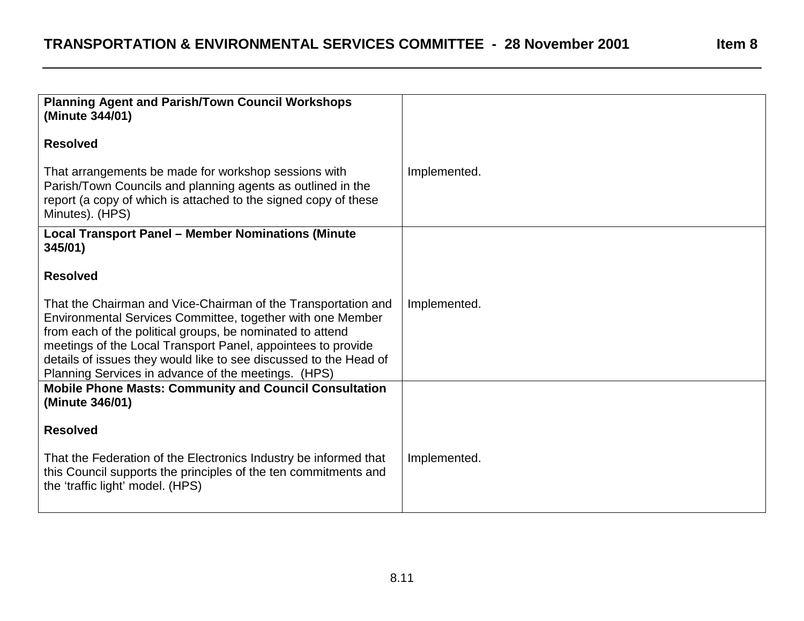| Implemented. |
|--------------|
|              |
|              |
| Implemented. |
|              |
|              |
| Implemented. |
|              |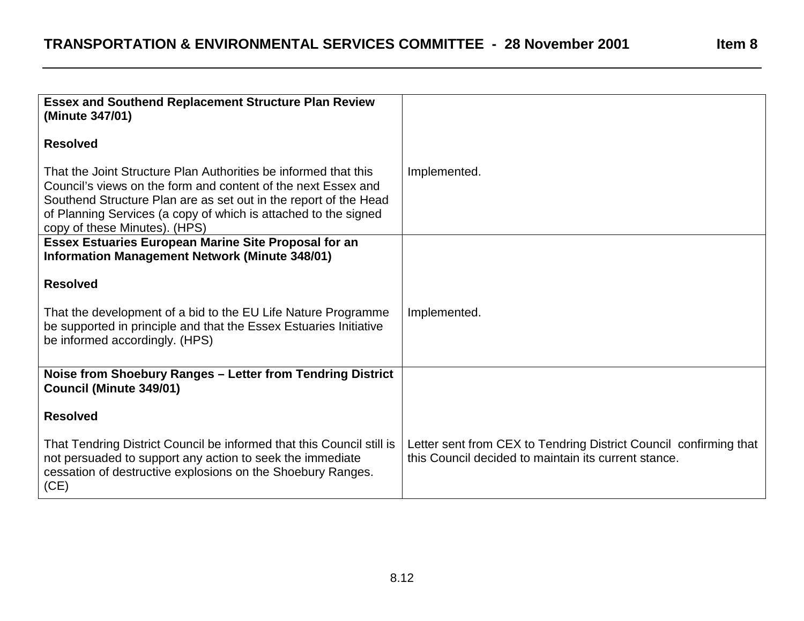**Essex and Southend Replacement Structure Plan Review (Minute 347/01) Resolved**That the Joint Structure Plan Authorities be informed that thisCouncil's views on the form and content of the next Essex andSouthend Structure Plan are as set out in the report of the Head of Planning Services (a copy of which is attached to the signed copy of these Minutes). (HPS) Implemented. **Essex Estuaries European Marine Site Proposal for an Information Management Network (Minute 348/01) Resolved**That the development of a bid to the EU Life Nature Programme be supported in principle and that the Essex Estuaries Initiative be informed accordingly. (HPS) Implemented. **Noise from Shoebury Ranges – Letter from Tendring District Council (Minute 349/01) Resolved**That Tendring District Council be informed that this Council still is not persuaded to support any action to seek the immediate cessation of destructive explosions on the Shoebury Ranges. (CE) Letter sent from CEX to Tendring District Council confirming that this Council decided to maintain its current stance.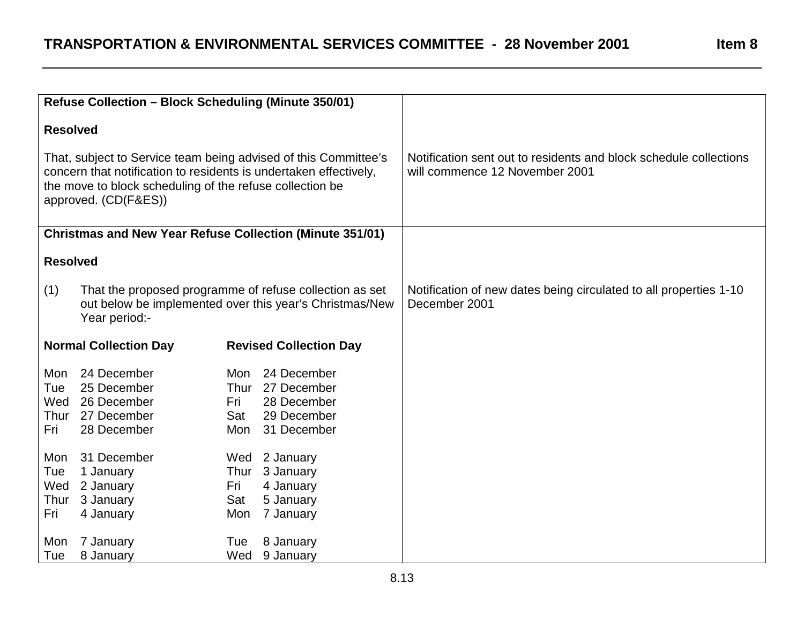| Refuse Collection - Block Scheduling (Minute 350/01)          |                                                                                                                                     |                                                                                                                                      |                                                                                                     |  |  |
|---------------------------------------------------------------|-------------------------------------------------------------------------------------------------------------------------------------|--------------------------------------------------------------------------------------------------------------------------------------|-----------------------------------------------------------------------------------------------------|--|--|
| <b>Resolved</b>                                               | the move to block scheduling of the refuse collection be<br>approved. (CD(F&ES))                                                    | That, subject to Service team being advised of this Committee's<br>concern that notification to residents is undertaken effectively, | Notification sent out to residents and block schedule collections<br>will commence 12 November 2001 |  |  |
|                                                               |                                                                                                                                     | <b>Christmas and New Year Refuse Collection (Minute 351/01)</b>                                                                      |                                                                                                     |  |  |
| <b>Resolved</b>                                               |                                                                                                                                     |                                                                                                                                      |                                                                                                     |  |  |
| (1)                                                           | That the proposed programme of refuse collection as set<br>out below be implemented over this year's Christmas/New<br>Year period:- |                                                                                                                                      | Notification of new dates being circulated to all properties 1-10<br>December 2001                  |  |  |
| <b>Normal Collection Day</b><br><b>Revised Collection Day</b> |                                                                                                                                     |                                                                                                                                      |                                                                                                     |  |  |
| Mon<br>Tue<br>Wed<br>Fri                                      | 24 December<br>25 December<br>26 December<br>Thur 27 December<br>28 December                                                        | 24 December<br>Mon<br>Thur 27 December<br>28 December<br>Fri<br>29 December<br>Sat<br>31 December<br>Mon                             |                                                                                                     |  |  |
| Mon<br>Tue<br>Wed<br>Thur<br>Fri                              | 31 December<br>1 January<br>2 January<br>3 January<br>4 January                                                                     | Wed<br>2 January<br>Thur 3 January<br>4 January<br>Fri<br>Sat<br>5 January<br>7 January<br>Mon                                       |                                                                                                     |  |  |
| Mon<br>Tue                                                    | 7 January<br>8 January                                                                                                              | 8 January<br>Tue<br>Wed<br>9 January                                                                                                 |                                                                                                     |  |  |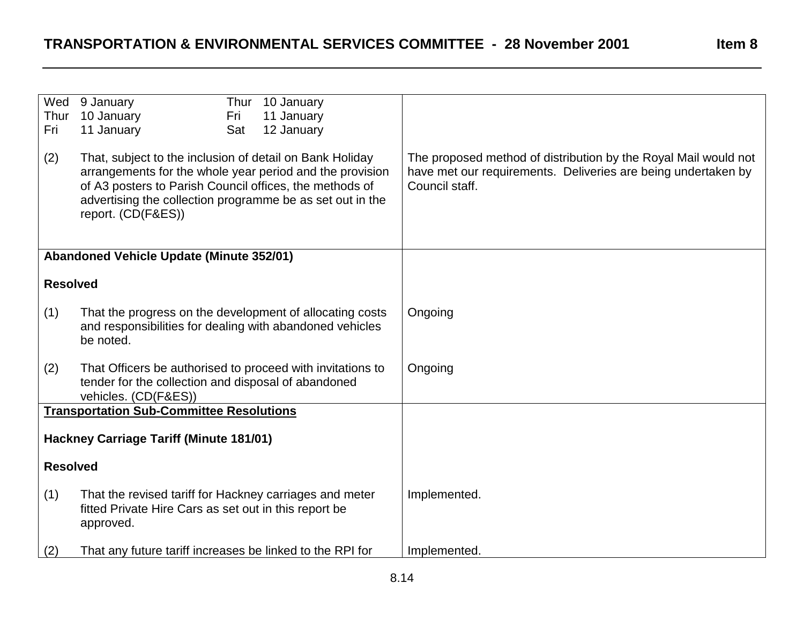| Wed<br>Thur<br>Fri<br>(2)                      | Thur 10 January<br>9 January<br>10 January<br>11 January<br>Fri<br>11 January<br>Sat<br>12 January<br>That, subject to the inclusion of detail on Bank Holiday<br>arrangements for the whole year period and the provision<br>of A3 posters to Parish Council offices, the methods of<br>advertising the collection programme be as set out in the | The proposed method of distribution by the Royal Mail would not<br>have met our requirements. Deliveries are being undertaken by<br>Council staff. |
|------------------------------------------------|----------------------------------------------------------------------------------------------------------------------------------------------------------------------------------------------------------------------------------------------------------------------------------------------------------------------------------------------------|----------------------------------------------------------------------------------------------------------------------------------------------------|
|                                                | report. (CD(F&ES))                                                                                                                                                                                                                                                                                                                                 |                                                                                                                                                    |
|                                                | <b>Abandoned Vehicle Update (Minute 352/01)</b>                                                                                                                                                                                                                                                                                                    |                                                                                                                                                    |
| <b>Resolved</b>                                |                                                                                                                                                                                                                                                                                                                                                    |                                                                                                                                                    |
| (1)                                            | That the progress on the development of allocating costs<br>and responsibilities for dealing with abandoned vehicles<br>be noted.                                                                                                                                                                                                                  | Ongoing                                                                                                                                            |
| (2)                                            | That Officers be authorised to proceed with invitations to<br>tender for the collection and disposal of abandoned<br>vehicles. (CD(F&ES))                                                                                                                                                                                                          | Ongoing                                                                                                                                            |
|                                                | <b>Transportation Sub-Committee Resolutions</b>                                                                                                                                                                                                                                                                                                    |                                                                                                                                                    |
| <b>Hackney Carriage Tariff (Minute 181/01)</b> |                                                                                                                                                                                                                                                                                                                                                    |                                                                                                                                                    |
| <b>Resolved</b>                                |                                                                                                                                                                                                                                                                                                                                                    |                                                                                                                                                    |
| (1)                                            | That the revised tariff for Hackney carriages and meter<br>fitted Private Hire Cars as set out in this report be<br>approved.                                                                                                                                                                                                                      | Implemented.                                                                                                                                       |
| (2)                                            | That any future tariff increases be linked to the RPI for                                                                                                                                                                                                                                                                                          | Implemented.                                                                                                                                       |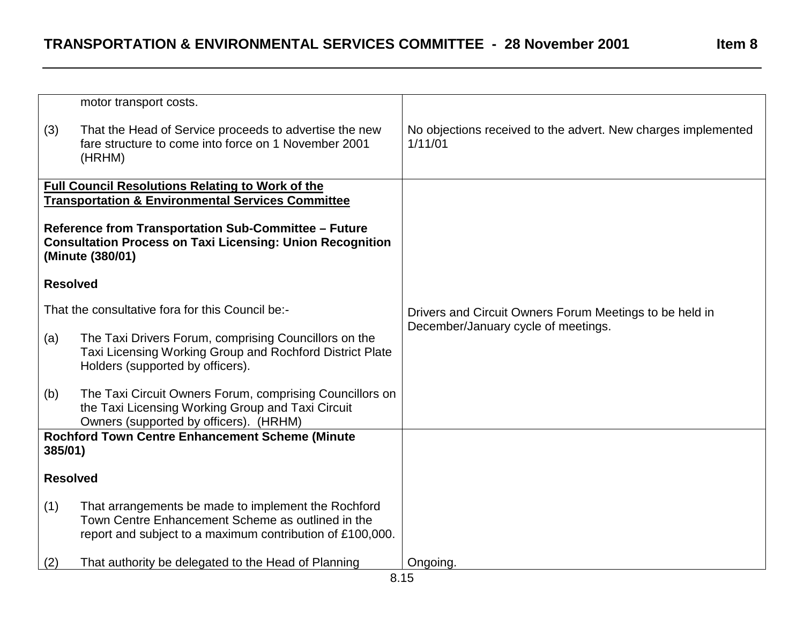| Ω<br>эn<br>Π |  |
|--------------|--|
|--------------|--|

|                                                                                                                                              | motor transport costs.                                                                                                                                                |                                                                                                |
|----------------------------------------------------------------------------------------------------------------------------------------------|-----------------------------------------------------------------------------------------------------------------------------------------------------------------------|------------------------------------------------------------------------------------------------|
| (3)                                                                                                                                          | That the Head of Service proceeds to advertise the new<br>fare structure to come into force on 1 November 2001<br>(HRHM)                                              | No objections received to the advert. New charges implemented<br>1/11/01                       |
|                                                                                                                                              | <b>Full Council Resolutions Relating to Work of the</b>                                                                                                               |                                                                                                |
|                                                                                                                                              | <b>Transportation &amp; Environmental Services Committee</b>                                                                                                          |                                                                                                |
|                                                                                                                                              |                                                                                                                                                                       |                                                                                                |
| Reference from Transportation Sub-Committee - Future<br><b>Consultation Process on Taxi Licensing: Union Recognition</b><br>(Minute (380/01) |                                                                                                                                                                       |                                                                                                |
| <b>Resolved</b>                                                                                                                              |                                                                                                                                                                       |                                                                                                |
| That the consultative fora for this Council be:-                                                                                             |                                                                                                                                                                       | Drivers and Circuit Owners Forum Meetings to be held in<br>December/January cycle of meetings. |
| (a)                                                                                                                                          | The Taxi Drivers Forum, comprising Councillors on the<br>Taxi Licensing Working Group and Rochford District Plate<br>Holders (supported by officers).                 |                                                                                                |
| (b)                                                                                                                                          | The Taxi Circuit Owners Forum, comprising Councillors on<br>the Taxi Licensing Working Group and Taxi Circuit<br>Owners (supported by officers). (HRHM)               |                                                                                                |
| <b>Rochford Town Centre Enhancement Scheme (Minute</b><br>385/01)                                                                            |                                                                                                                                                                       |                                                                                                |
| <b>Resolved</b>                                                                                                                              |                                                                                                                                                                       |                                                                                                |
| (1)                                                                                                                                          | That arrangements be made to implement the Rochford<br>Town Centre Enhancement Scheme as outlined in the<br>report and subject to a maximum contribution of £100,000. |                                                                                                |
| (2)                                                                                                                                          | That authority be delegated to the Head of Planning                                                                                                                   | Ongoing.                                                                                       |